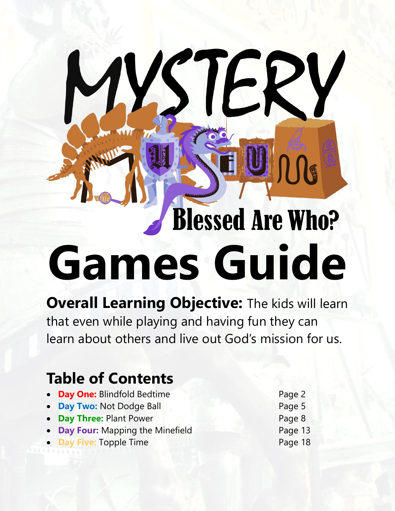# **Blessed Are Who? Games Guide**

STE

**Overall Learning Objective: The kids will learn** that even while playing and having fun they can learn about others and live out God's mission for us.

# **Table of Contents**

- **Day One:** Blindfold Bedtime **Page 2**
- **Day Two:** Not Dodge Ball **Page 5**
- **Day Three:** Plant Power Page 8
- **Day Four:** Mapping the Minefield Page 13
- **Day Five: Topple Time Access 18 Access 18 Access 18 Access 18 Access 18 Access 18 Access 18 Access 18 Access 18 Access 18 Access 18 Access 18 Access 18 Access 18 Access 18 Access 18 Access 18 Access 18 Access 18 Access 18**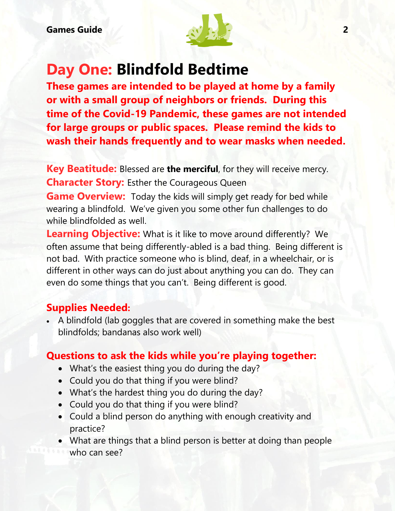

# **Day One: Blindfold Bedtime**

**These games are intended to be played at home by a family or with a small group of neighbors or friends. During this time of the Covid-19 Pandemic, these games are not intended for large groups or public spaces. Please remind the kids to wash their hands frequently and to wear masks when needed.**

**Key Beatitude:** Blessed are **the merciful**, for they will receive mercy. **Character Story:** Esther the Courageous Queen

**Game Overview:** Today the kids will simply get ready for bed while wearing a blindfold. We've given you some other fun challenges to do while blindfolded as well.

**Learning Objective:** What is it like to move around differently? We often assume that being differently-abled is a bad thing. Being different is not bad. With practice someone who is blind, deaf, in a wheelchair, or is different in other ways can do just about anything you can do. They can even do some things that you can't. Being different is good.

#### **Supplies Needed:**

 A blindfold (lab goggles that are covered in something make the best blindfolds; bandanas also work well)

#### **Questions to ask the kids while you're playing together:**

- What's the easiest thing you do during the day?
- Could you do that thing if you were blind?
- What's the hardest thing you do during the day?
- Could you do that thing if you were blind?
- Could a blind person do anything with enough creativity and practice?
- What are things that a blind person is better at doing than people who can see?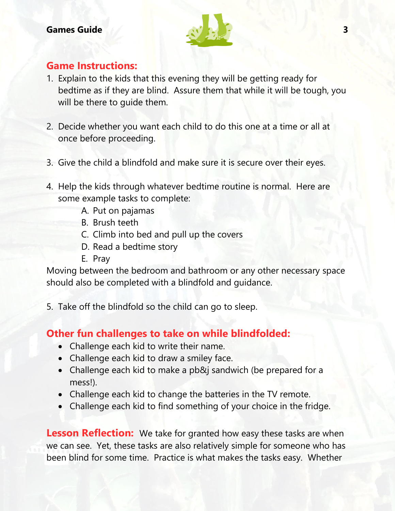

#### **Game Instructions:**

- 1. Explain to the kids that this evening they will be getting ready for bedtime as if they are blind. Assure them that while it will be tough, you will be there to guide them.
- 2. Decide whether you want each child to do this one at a time or all at once before proceeding.
- 3. Give the child a blindfold and make sure it is secure over their eyes.
- 4. Help the kids through whatever bedtime routine is normal. Here are some example tasks to complete:
	- A. Put on pajamas
	- B. Brush teeth
	- C. Climb into bed and pull up the covers
	- D. Read a bedtime story
	- E. Pray

Moving between the bedroom and bathroom or any other necessary space should also be completed with a blindfold and guidance.

5. Take off the blindfold so the child can go to sleep.

#### **Other fun challenges to take on while blindfolded:**

- Challenge each kid to write their name.
- Challenge each kid to draw a smiley face.
- Challenge each kid to make a pb&j sandwich (be prepared for a mess!).
- Challenge each kid to change the batteries in the TV remote.
- Challenge each kid to find something of your choice in the fridge.

**Lesson Reflection:** We take for granted how easy these tasks are when we can see. Yet, these tasks are also relatively simple for someone who has been blind for some time. Practice is what makes the tasks easy. Whether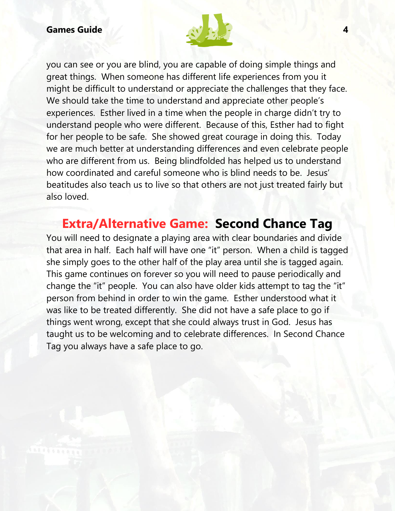

you can see or you are blind, you are capable of doing simple things and great things. When someone has different life experiences from you it might be difficult to understand or appreciate the challenges that they face. We should take the time to understand and appreciate other people's experiences. Esther lived in a time when the people in charge didn't try to understand people who were different. Because of this, Esther had to fight for her people to be safe. She showed great courage in doing this. Today we are much better at understanding differences and even celebrate people who are different from us. Being blindfolded has helped us to understand how coordinated and careful someone who is blind needs to be. Jesus' beatitudes also teach us to live so that others are not just treated fairly but also loved.

### **Extra/Alternative Game: Second Chance Tag**

You will need to designate a playing area with clear boundaries and divide that area in half. Each half will have one "it" person. When a child is tagged she simply goes to the other half of the play area until she is tagged again. This game continues on forever so you will need to pause periodically and change the "it" people. You can also have older kids attempt to tag the "it" person from behind in order to win the game. Esther understood what it was like to be treated differently. She did not have a safe place to go if things went wrong, except that she could always trust in God. Jesus has taught us to be welcoming and to celebrate differences. In Second Chance Tag you always have a safe place to go.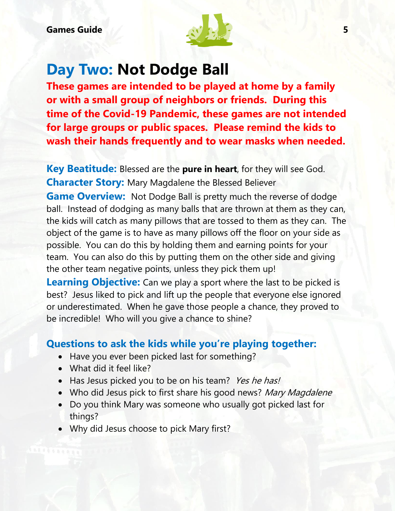

### **Day Two: Not Dodge Ball**

**These games are intended to be played at home by a family or with a small group of neighbors or friends. During this time of the Covid-19 Pandemic, these games are not intended for large groups or public spaces. Please remind the kids to wash their hands frequently and to wear masks when needed.**

**Key Beatitude:** Blessed are the **pure in heart**, for they will see God. **Character Story:** Mary Magdalene the Blessed Believer

**Game Overview:** Not Dodge Ball is pretty much the reverse of dodge ball. Instead of dodging as many balls that are thrown at them as they can, the kids will catch as many pillows that are tossed to them as they can. The object of the game is to have as many pillows off the floor on your side as possible. You can do this by holding them and earning points for your team. You can also do this by putting them on the other side and giving the other team negative points, unless they pick them up!

**Learning Objective:** Can we play a sport where the last to be picked is best? Jesus liked to pick and lift up the people that everyone else ignored or underestimated. When he gave those people a chance, they proved to be incredible! Who will you give a chance to shine?

#### **Questions to ask the kids while you're playing together:**

- Have you ever been picked last for something?
- What did it feel like?
- Has Jesus picked you to be on his team? Yes he has!
- Who did Jesus pick to first share his good news? Mary Magdalene
- Do you think Mary was someone who usually got picked last for things?
- Why did Jesus choose to pick Mary first?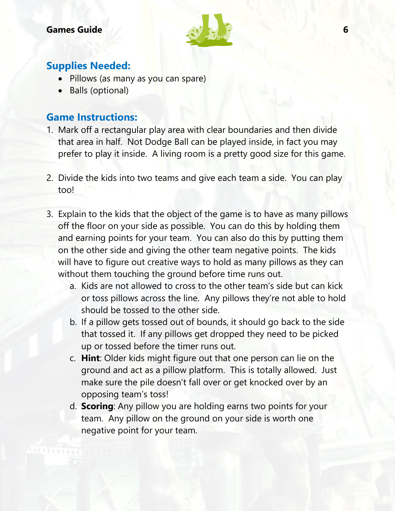

#### **Supplies Needed:**

- Pillows (as many as you can spare)
- Balls (optional)

#### **Game Instructions:**

- 1. Mark off a rectangular play area with clear boundaries and then divide that area in half. Not Dodge Ball can be played inside, in fact you may prefer to play it inside. A living room is a pretty good size for this game.
- 2. Divide the kids into two teams and give each team a side. You can play too!
- 3. Explain to the kids that the object of the game is to have as many pillows off the floor on your side as possible. You can do this by holding them and earning points for your team. You can also do this by putting them on the other side and giving the other team negative points. The kids will have to figure out creative ways to hold as many pillows as they can without them touching the ground before time runs out.
	- a. Kids are not allowed to cross to the other team's side but can kick or toss pillows across the line. Any pillows they're not able to hold should be tossed to the other side.
	- b. If a pillow gets tossed out of bounds, it should go back to the side that tossed it. If any pillows get dropped they need to be picked up or tossed before the timer runs out.
	- c. **Hint**: Older kids might figure out that one person can lie on the ground and act as a pillow platform. This is totally allowed. Just make sure the pile doesn't fall over or get knocked over by an opposing team's toss!
	- d. **Scoring**: Any pillow you are holding earns two points for your team. Any pillow on the ground on your side is worth one negative point for your team.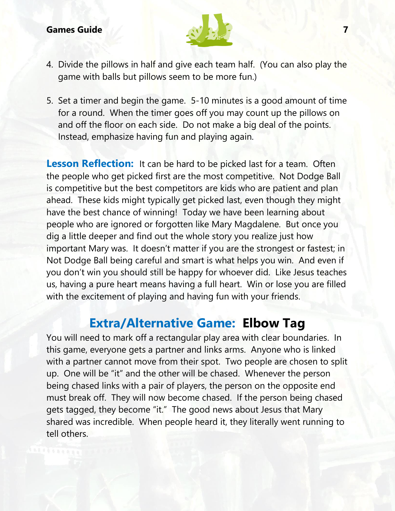

- 4. Divide the pillows in half and give each team half. (You can also play the game with balls but pillows seem to be more fun.)
- 5. Set a timer and begin the game. 5-10 minutes is a good amount of time for a round. When the timer goes off you may count up the pillows on and off the floor on each side. Do not make a big deal of the points. Instead, emphasize having fun and playing again.

**Lesson Reflection:** It can be hard to be picked last for a team. Often the people who get picked first are the most competitive. Not Dodge Ball is competitive but the best competitors are kids who are patient and plan ahead. These kids might typically get picked last, even though they might have the best chance of winning! Today we have been learning about people who are ignored or forgotten like Mary Magdalene. But once you dig a little deeper and find out the whole story you realize just how important Mary was. It doesn't matter if you are the strongest or fastest; in Not Dodge Ball being careful and smart is what helps you win. And even if you don't win you should still be happy for whoever did. Like Jesus teaches us, having a pure heart means having a full heart. Win or lose you are filled with the excitement of playing and having fun with your friends.

### **Extra/Alternative Game: Elbow Tag**

You will need to mark off a rectangular play area with clear boundaries. In this game, everyone gets a partner and links arms. Anyone who is linked with a partner cannot move from their spot. Two people are chosen to split up. One will be "it" and the other will be chased. Whenever the person being chased links with a pair of players, the person on the opposite end must break off. They will now become chased. If the person being chased gets tagged, they become "it." The good news about Jesus that Mary shared was incredible. When people heard it, they literally went running to tell others.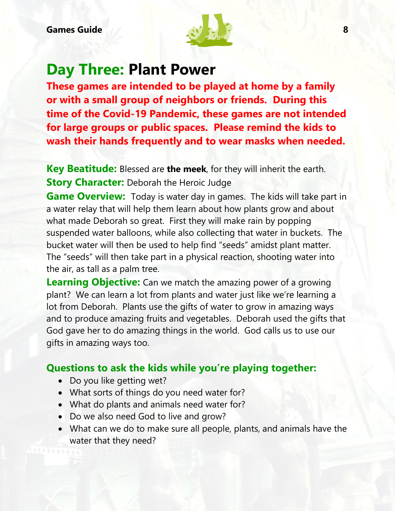

### **Day Three: Plant Power**

**These games are intended to be played at home by a family or with a small group of neighbors or friends. During this time of the Covid-19 Pandemic, these games are not intended for large groups or public spaces. Please remind the kids to wash their hands frequently and to wear masks when needed.**

**Key Beatitude:** Blessed are **the meek**, for they will inherit the earth. **Story Character:** Deborah the Heroic Judge

**Game Overview:** Today is water day in games. The kids will take part in a water relay that will help them learn about how plants grow and about what made Deborah so great. First they will make rain by popping suspended water balloons, while also collecting that water in buckets. The bucket water will then be used to help find "seeds" amidst plant matter. The "seeds" will then take part in a physical reaction, shooting water into the air, as tall as a palm tree.

**Learning Objective:** Can we match the amazing power of a growing plant? We can learn a lot from plants and water just like we're learning a lot from Deborah. Plants use the gifts of water to grow in amazing ways and to produce amazing fruits and vegetables. Deborah used the gifts that God gave her to do amazing things in the world. God calls us to use our gifts in amazing ways too.

#### **Questions to ask the kids while you're playing together:**

- Do you like getting wet?
- What sorts of things do you need water for?
- What do plants and animals need water for?
- Do we also need God to live and grow?
- What can we do to make sure all people, plants, and animals have the water that they need?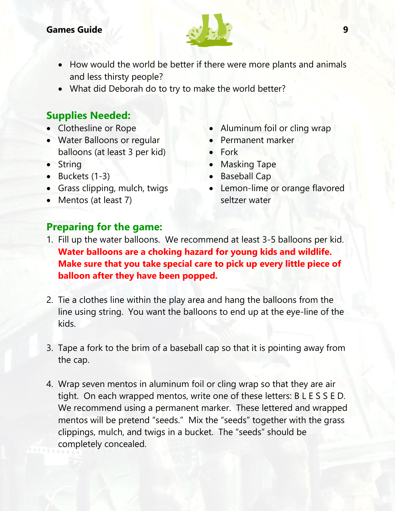

- How would the world be better if there were more plants and animals and less thirsty people?
- What did Deborah do to try to make the world better?

#### **Supplies Needed:**

- Clothesline or Rope
- Water Balloons or regular balloons (at least 3 per kid)
- String
- $\bullet$  Buckets (1-3)
- Grass clipping, mulch, twigs
- Mentos (at least 7)
- Aluminum foil or cling wrap
- Permanent marker
- Fork
- Masking Tape
- Baseball Cap
- Lemon-lime or orange flavored seltzer water

#### **Preparing for the game:**

- 1. Fill up the water balloons. We recommend at least 3-5 balloons per kid. **Water balloons are a choking hazard for young kids and wildlife. Make sure that you take special care to pick up every little piece of balloon after they have been popped.**
- 2. Tie a clothes line within the play area and hang the balloons from the line using string. You want the balloons to end up at the eye-line of the kids.
- 3. Tape a fork to the brim of a baseball cap so that it is pointing away from the cap.
- 4. Wrap seven mentos in aluminum foil or cling wrap so that they are air tight. On each wrapped mentos, write one of these letters: B L E S S E D. We recommend using a permanent marker. These lettered and wrapped mentos will be pretend "seeds." Mix the "seeds" together with the grass clippings, mulch, and twigs in a bucket. The "seeds" should be completely concealed.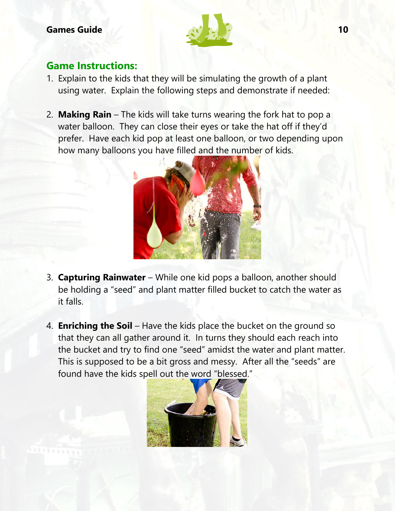

#### **Game Instructions:**

- 1. Explain to the kids that they will be simulating the growth of a plant using water. Explain the following steps and demonstrate if needed:
- 2. **Making Rain**  The kids will take turns wearing the fork hat to pop a water balloon. They can close their eyes or take the hat off if they'd prefer. Have each kid pop at least one balloon, or two depending upon how many balloons you have filled and the number of kids.



- 3. **Capturing Rainwater** While one kid pops a balloon, another should be holding a "seed" and plant matter filled bucket to catch the water as it falls.
- 4. **Enriching the Soil** Have the kids place the bucket on the ground so that they can all gather around it. In turns they should each reach into the bucket and try to find one "seed" amidst the water and plant matter. This is supposed to be a bit gross and messy. After all the "seeds" are found have the kids spell out the word "blessed."

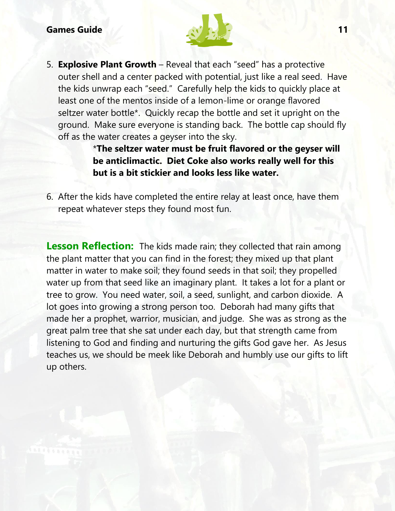

5. **Explosive Plant Growth** – Reveal that each "seed" has a protective outer shell and a center packed with potential, just like a real seed. Have the kids unwrap each "seed." Carefully help the kids to quickly place at least one of the mentos inside of a lemon-lime or orange flavored seltzer water bottle\*. Quickly recap the bottle and set it upright on the ground. Make sure everyone is standing back. The bottle cap should fly off as the water creates a geyser into the sky.

> \***The seltzer water must be fruit flavored or the geyser will be anticlimactic. Diet Coke also works really well for this but is a bit stickier and looks less like water.**

6. After the kids have completed the entire relay at least once, have them repeat whatever steps they found most fun.

**Lesson Reflection:** The kids made rain; they collected that rain among the plant matter that you can find in the forest; they mixed up that plant matter in water to make soil; they found seeds in that soil; they propelled water up from that seed like an imaginary plant. It takes a lot for a plant or tree to grow. You need water, soil, a seed, sunlight, and carbon dioxide. A lot goes into growing a strong person too. Deborah had many gifts that made her a prophet, warrior, musician, and judge. She was as strong as the great palm tree that she sat under each day, but that strength came from listening to God and finding and nurturing the gifts God gave her. As Jesus teaches us, we should be meek like Deborah and humbly use our gifts to lift up others.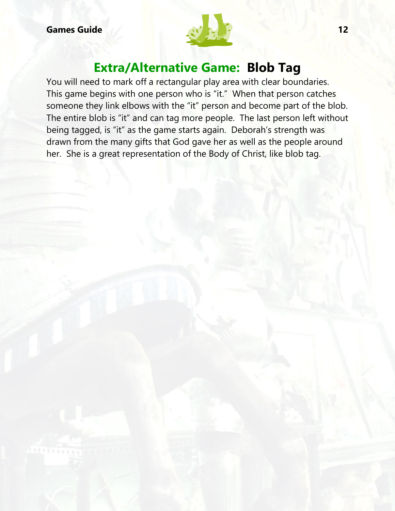

### **Extra/Alternative Game: Blob Tag**

You will need to mark off a rectangular play area with clear boundaries. This game begins with one person who is "it." When that person catches someone they link elbows with the "it" person and become part of the blob. The entire blob is "it" and can tag more people. The last person left without being tagged, is "it" as the game starts again. Deborah's strength was drawn from the many gifts that God gave her as well as the people around her. She is a great representation of the Body of Christ, like blob tag.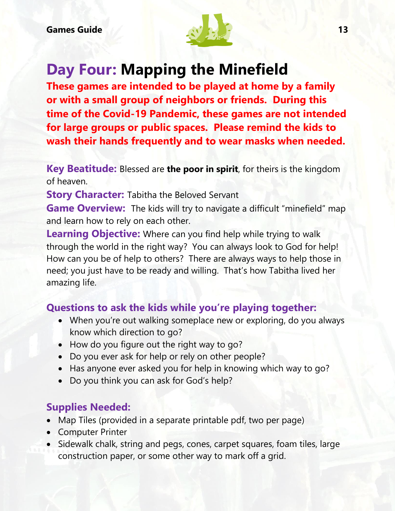

# **Day Four: Mapping the Minefield**

**These games are intended to be played at home by a family or with a small group of neighbors or friends. During this time of the Covid-19 Pandemic, these games are not intended for large groups or public spaces. Please remind the kids to wash their hands frequently and to wear masks when needed.**

**Key Beatitude:** Blessed are **the poor in spirit**, for theirs is the kingdom of heaven.

**Story Character:** Tabitha the Beloved Servant

**Game Overview:** The kids will try to navigate a difficult "minefield" map and learn how to rely on each other.

**Learning Objective:** Where can you find help while trying to walk through the world in the right way? You can always look to God for help! How can you be of help to others? There are always ways to help those in need; you just have to be ready and willing. That's how Tabitha lived her amazing life.

#### **Questions to ask the kids while you're playing together:**

- When you're out walking someplace new or exploring, do you always know which direction to go?
- How do you figure out the right way to go?
- Do you ever ask for help or rely on other people?
- Has anyone ever asked you for help in knowing which way to go?
- Do you think you can ask for God's help?

#### **Supplies Needed:**

- Map Tiles (provided in a separate printable pdf, two per page)
- Computer Printer
- Sidewalk chalk, string and pegs, cones, carpet squares, foam tiles, large construction paper, or some other way to mark off a grid.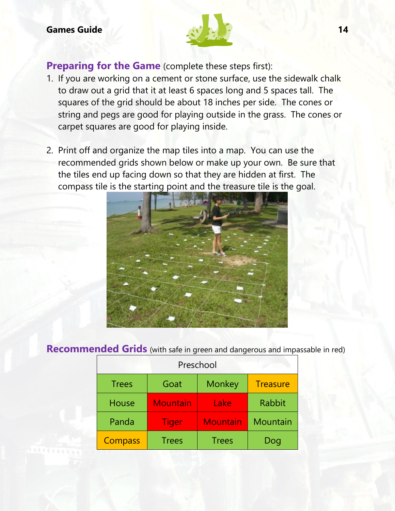

**Preparing for the Game** (complete these steps first):

- 1. If you are working on a cement or stone surface, use the sidewalk chalk to draw out a grid that it at least 6 spaces long and 5 spaces tall. The squares of the grid should be about 18 inches per side. The cones or string and pegs are good for playing outside in the grass. The cones or carpet squares are good for playing inside.
- 2. Print off and organize the map tiles into a map. You can use the recommended grids shown below or make up your own. Be sure that the tiles end up facing down so that they are hidden at first. The compass tile is the starting point and the treasure tile is the goal.



#### **Recommended Grids** (with safe in green and dangerous and impassable in red)

| Preschool      |                 |                 |                 |  |  |  |
|----------------|-----------------|-----------------|-----------------|--|--|--|
| <b>Trees</b>   | Goat            | <b>Monkey</b>   | <b>Treasure</b> |  |  |  |
| <b>House</b>   | <b>Mountain</b> | Lake            | <b>Rabbit</b>   |  |  |  |
| Panda          | Tiger           | <b>Mountain</b> | Mountain        |  |  |  |
| <b>Compass</b> | <b>Trees</b>    | <b>Trees</b>    | Dog             |  |  |  |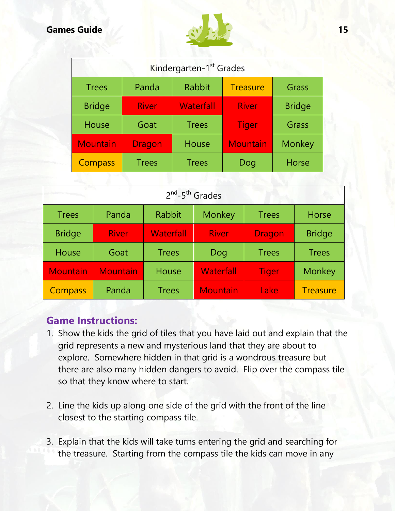

| Kindergarten-1 <sup>st</sup> Grades |               |                                  |                 |               |  |  |  |
|-------------------------------------|---------------|----------------------------------|-----------------|---------------|--|--|--|
| <b>Trees</b>                        | Panda         | <b>Rabbit</b><br><b>Treasure</b> |                 | Grass         |  |  |  |
| <b>Bridge</b>                       | <b>River</b>  | <b>Waterfall</b>                 | <b>River</b>    | <b>Bridge</b> |  |  |  |
| House                               | Goat          | <b>Trees</b>                     | <b>Tiger</b>    | Grass         |  |  |  |
| <b>Mountain</b>                     | <b>Dragon</b> | House                            | <b>Mountain</b> | Monkey        |  |  |  |
| <b>Compass</b>                      | <b>Trees</b>  | <b>Trees</b>                     | Dog             | <b>Horse</b>  |  |  |  |

| an ma<br>$2^{nd}$ -5 <sup>th</sup> Grades |                 |                  |                  |               |                 |  |  |  |
|-------------------------------------------|-----------------|------------------|------------------|---------------|-----------------|--|--|--|
| <b>Trees</b>                              | Panda           | Rabbit           | Monkey           | <b>Trees</b>  | Horse           |  |  |  |
| <b>Bridge</b>                             | <b>River</b>    | <b>Waterfall</b> | <b>River</b>     | <b>Dragon</b> | <b>Bridge</b>   |  |  |  |
| <b>House</b>                              | Goat            | <b>Trees</b>     | Dog              | <b>Trees</b>  | <b>Trees</b>    |  |  |  |
| <b>Mountain</b>                           | <b>Mountain</b> | House            | <b>Waterfall</b> | <b>Tiger</b>  | Monkey          |  |  |  |
| <b>Compass</b>                            | Panda           | <b>Trees</b>     | <b>Mountain</b>  | Lake          | <b>Treasure</b> |  |  |  |

#### **Game Instructions:**

- 1. Show the kids the grid of tiles that you have laid out and explain that the grid represents a new and mysterious land that they are about to explore. Somewhere hidden in that grid is a wondrous treasure but there are also many hidden dangers to avoid. Flip over the compass tile so that they know where to start.
- 2. Line the kids up along one side of the grid with the front of the line closest to the starting compass tile.
- 3. Explain that the kids will take turns entering the grid and searching for the treasure. Starting from the compass tile the kids can move in any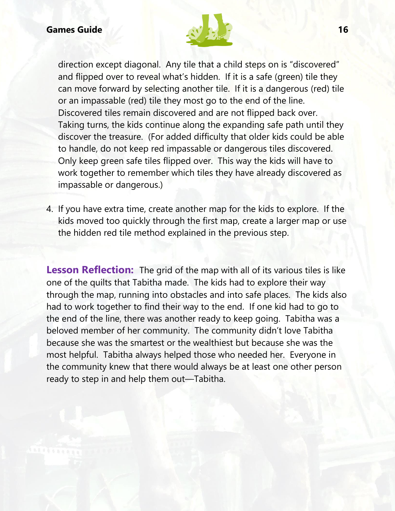

direction except diagonal. Any tile that a child steps on is "discovered" and flipped over to reveal what's hidden. If it is a safe (green) tile they can move forward by selecting another tile. If it is a dangerous (red) tile or an impassable (red) tile they most go to the end of the line. Discovered tiles remain discovered and are not flipped back over. Taking turns, the kids continue along the expanding safe path until they discover the treasure. (For added difficulty that older kids could be able to handle, do not keep red impassable or dangerous tiles discovered. Only keep green safe tiles flipped over. This way the kids will have to work together to remember which tiles they have already discovered as impassable or dangerous.)

4. If you have extra time, create another map for the kids to explore. If the kids moved too quickly through the first map, create a larger map or use the hidden red tile method explained in the previous step.

**Lesson Reflection:** The grid of the map with all of its various tiles is like one of the quilts that Tabitha made. The kids had to explore their way through the map, running into obstacles and into safe places. The kids also had to work together to find their way to the end. If one kid had to go to the end of the line, there was another ready to keep going. Tabitha was a beloved member of her community. The community didn't love Tabitha because she was the smartest or the wealthiest but because she was the most helpful. Tabitha always helped those who needed her. Everyone in the community knew that there would always be at least one other person ready to step in and help them out—Tabitha.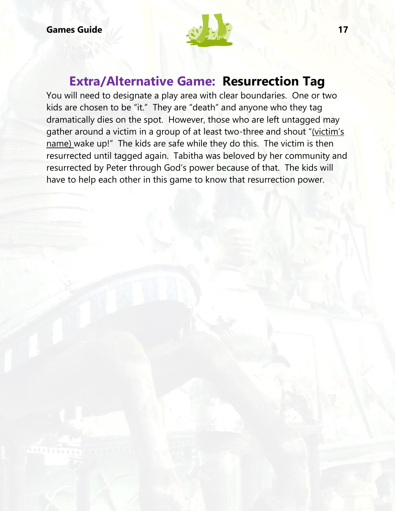

### **Extra/Alternative Game: Resurrection Tag**

You will need to designate a play area with clear boundaries. One or two kids are chosen to be "it." They are "death" and anyone who they tag dramatically dies on the spot. However, those who are left untagged may gather around a victim in a group of at least two-three and shout "(victim's name) wake up!" The kids are safe while they do this. The victim is then resurrected until tagged again. Tabitha was beloved by her community and resurrected by Peter through God's power because of that. The kids will have to help each other in this game to know that resurrection power.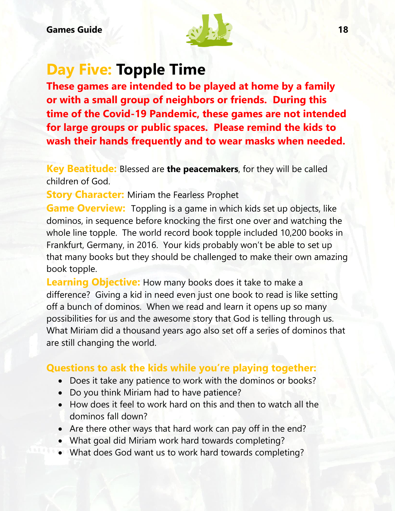

## **Day Five: Topple Time**

**These games are intended to be played at home by a family or with a small group of neighbors or friends. During this time of the Covid-19 Pandemic, these games are not intended for large groups or public spaces. Please remind the kids to wash their hands frequently and to wear masks when needed.**

**Key Beatitude:** Blessed are **the peacemakers**, for they will be called children of God.

**Story Character:** Miriam the Fearless Prophet

**Game Overview:** Toppling is a game in which kids set up objects, like dominos, in sequence before knocking the first one over and watching the whole line topple. The world record book topple included 10,200 books in Frankfurt, Germany, in 2016. Your kids probably won't be able to set up that many books but they should be challenged to make their own amazing book topple.

**Learning Objective:** How many books does it take to make a difference? Giving a kid in need even just one book to read is like setting off a bunch of dominos. When we read and learn it opens up so many possibilities for us and the awesome story that God is telling through us. What Miriam did a thousand years ago also set off a series of dominos that are still changing the world.

#### **Questions to ask the kids while you're playing together:**

- Does it take any patience to work with the dominos or books?
- Do you think Miriam had to have patience?
- How does it feel to work hard on this and then to watch all the dominos fall down?
- Are there other ways that hard work can pay off in the end?
- What goal did Miriam work hard towards completing?
- What does God want us to work hard towards completing?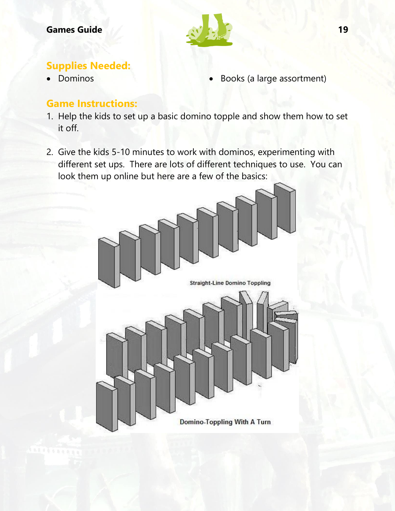

#### **Supplies Needed:**

- 
- Dominos Books (a large assortment)

#### **Game Instructions:**

- 1. Help the kids to set up a basic domino topple and show them how to set it off.
- 2. Give the kids 5-10 minutes to work with dominos, experimenting with different set ups. There are lots of different techniques to use. You can look them up online but here are a few of the basics:

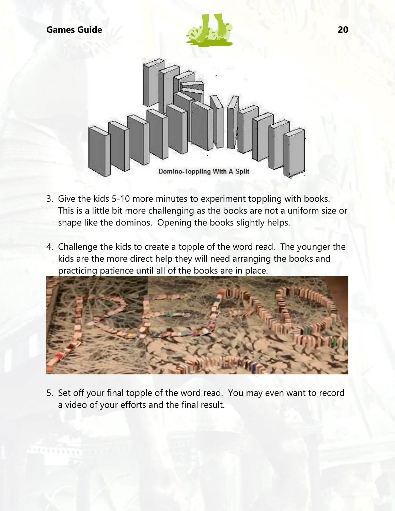



- 3. Give the kids 5-10 more minutes to experiment toppling with books. This is a little bit more challenging as the books are not a uniform size or shape like the dominos. Opening the books slightly helps.
- 4. Challenge the kids to create a topple of the word read. The younger the kids are the more direct help they will need arranging the books and practicing patience until all of the books are in place.



5. Set off your final topple of the word read. You may even want to record a video of your efforts and the final result.